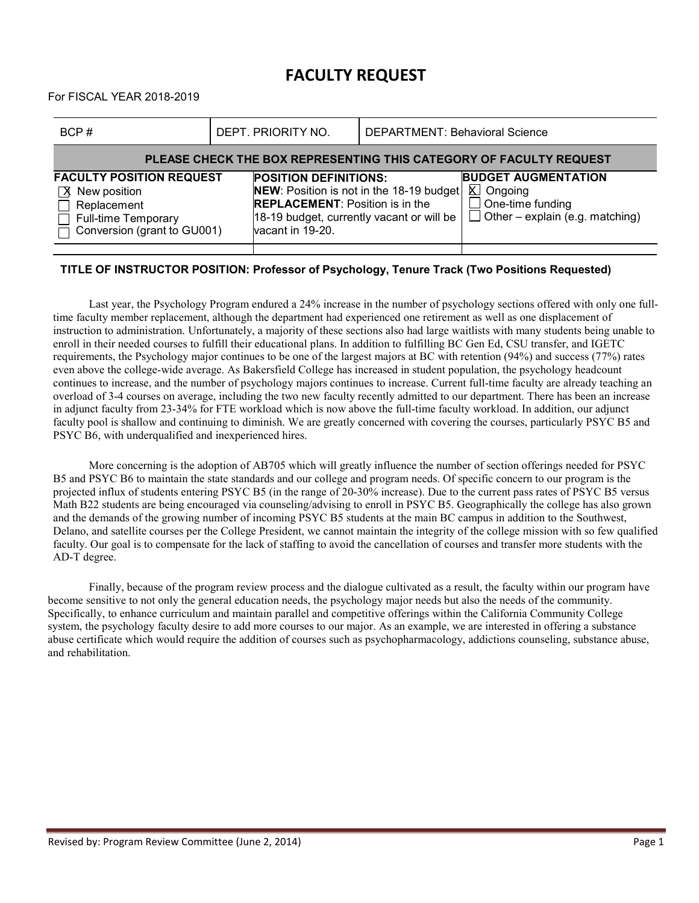## **FACULTY REQUEST**

For FISCAL YEAR 2018-2019

| BCP#                                                                                                                                                        | DEPT. PRIORITY NO. |                                                                                                                                                                                     | <b>DEPARTMENT: Behavioral Science</b> |                                                                                                              |  |  |  |  |  |  |
|-------------------------------------------------------------------------------------------------------------------------------------------------------------|--------------------|-------------------------------------------------------------------------------------------------------------------------------------------------------------------------------------|---------------------------------------|--------------------------------------------------------------------------------------------------------------|--|--|--|--|--|--|
| PLEASE CHECK THE BOX REPRESENTING THIS CATEGORY OF FACULTY REQUEST                                                                                          |                    |                                                                                                                                                                                     |                                       |                                                                                                              |  |  |  |  |  |  |
| <b>FACULTY POSITION REQUEST</b><br>$\sqrt{X}$ New position<br>$\Box$ Replacement<br>Full-time Temporary<br>$\overline{\square}$ Conversion (grant to GU001) |                    | <b>POSITION DEFINITIONS:</b><br>NEW: Position is not in the 18-19 budget<br><b>REPLACEMENT: Position is in the</b><br>18-19 budget, currently vacant or will be<br>vacant in 19-20. |                                       | <b>BUDGET AUGMENTATION</b><br>⊠ Ongoing<br>$\Box$ One-time funding<br>$\Box$ Other – explain (e.g. matching) |  |  |  |  |  |  |
|                                                                                                                                                             |                    |                                                                                                                                                                                     |                                       |                                                                                                              |  |  |  |  |  |  |

## **TITLE OF INSTRUCTOR POSITION: Professor of Psychology, Tenure Track (Two Positions Requested)**

Last year, the Psychology Program endured a 24% increase in the number of psychology sections offered with only one fulltime faculty member replacement, although the department had experienced one retirement as well as one displacement of instruction to administration. Unfortunately, a majority of these sections also had large waitlists with many students being unable to enroll in their needed courses to fulfill their educational plans. In addition to fulfilling BC Gen Ed, CSU transfer, and IGETC requirements, the Psychology major continues to be one of the largest majors at BC with retention (94%) and success (77%) rates even above the college-wide average. As Bakersfield College has increased in student population, the psychology headcount continues to increase, and the number of psychology majors continues to increase. Current full-time faculty are already teaching an overload of 3-4 courses on average, including the two new faculty recently admitted to our department. There has been an increase in adjunct faculty from 23-34% for FTE workload which is now above the full-time faculty workload. In addition, our adjunct faculty pool is shallow and continuing to diminish. We are greatly concerned with covering the courses, particularly PSYC B5 and PSYC B6, with underqualified and inexperienced hires.

More concerning is the adoption of AB705 which will greatly influence the number of section offerings needed for PSYC B5 and PSYC B6 to maintain the state standards and our college and program needs. Of specific concern to our program is the projected influx of students entering PSYC B5 (in the range of 20-30% increase). Due to the current pass rates of PSYC B5 versus Math B22 students are being encouraged via counseling/advising to enroll in PSYC B5. Geographically the college has also grown and the demands of the growing number of incoming PSYC B5 students at the main BC campus in addition to the Southwest, Delano, and satellite courses per the College President, we cannot maintain the integrity of the college mission with so few qualified faculty. Our goal is to compensate for the lack of staffing to avoid the cancellation of courses and transfer more students with the AD-T degree.

Finally, because of the program review process and the dialogue cultivated as a result, the faculty within our program have become sensitive to not only the general education needs, the psychology major needs but also the needs of the community. Specifically, to enhance curriculum and maintain parallel and competitive offerings within the California Community College system, the psychology faculty desire to add more courses to our major. As an example, we are interested in offering a substance abuse certificate which would require the addition of courses such as psychopharmacology, addictions counseling, substance abuse, and rehabilitation.